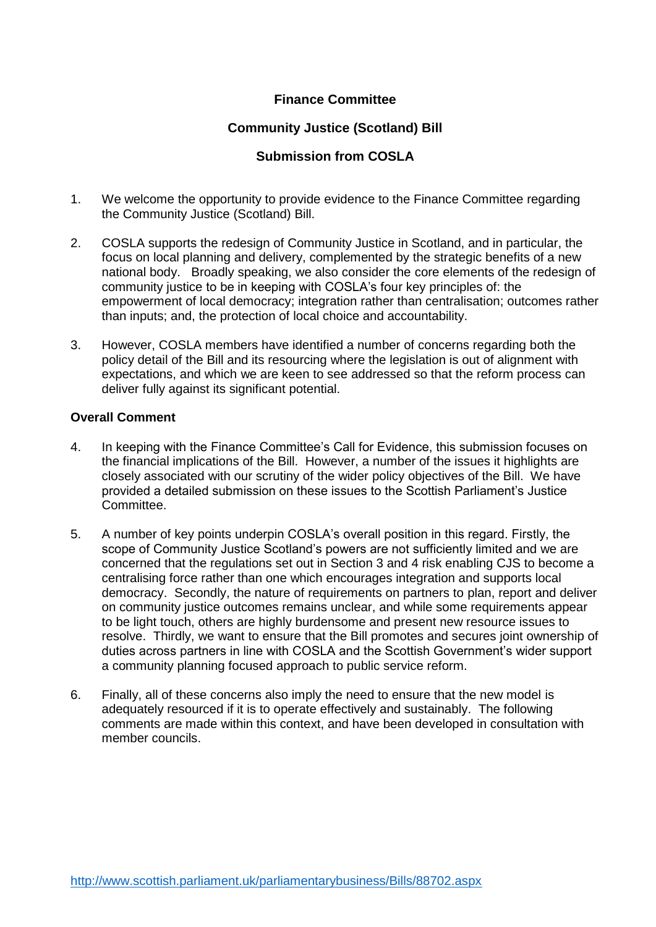## **Finance Committee**

#### **Community Justice (Scotland) Bill**

#### **Submission from COSLA**

- 1. We welcome the opportunity to provide evidence to the Finance Committee regarding the Community Justice (Scotland) Bill.
- 2. COSLA supports the redesign of Community Justice in Scotland, and in particular, the focus on local planning and delivery, complemented by the strategic benefits of a new national body. Broadly speaking, we also consider the core elements of the redesign of community justice to be in keeping with COSLA's four key principles of: the empowerment of local democracy; integration rather than centralisation; outcomes rather than inputs; and, the protection of local choice and accountability.
- 3. However, COSLA members have identified a number of concerns regarding both the policy detail of the Bill and its resourcing where the legislation is out of alignment with expectations, and which we are keen to see addressed so that the reform process can deliver fully against its significant potential.

#### **Overall Comment**

- 4. In keeping with the Finance Committee's Call for Evidence, this submission focuses on the financial implications of the Bill. However, a number of the issues it highlights are closely associated with our scrutiny of the wider policy objectives of the Bill. We have provided a detailed submission on these issues to the Scottish Parliament's Justice Committee.
- 5. A number of key points underpin COSLA's overall position in this regard. Firstly, the scope of Community Justice Scotland's powers are not sufficiently limited and we are concerned that the regulations set out in Section 3 and 4 risk enabling CJS to become a centralising force rather than one which encourages integration and supports local democracy. Secondly, the nature of requirements on partners to plan, report and deliver on community justice outcomes remains unclear, and while some requirements appear to be light touch, others are highly burdensome and present new resource issues to resolve. Thirdly, we want to ensure that the Bill promotes and secures joint ownership of duties across partners in line with COSLA and the Scottish Government's wider support a community planning focused approach to public service reform.
- 6. Finally, all of these concerns also imply the need to ensure that the new model is adequately resourced if it is to operate effectively and sustainably. The following comments are made within this context, and have been developed in consultation with member councils.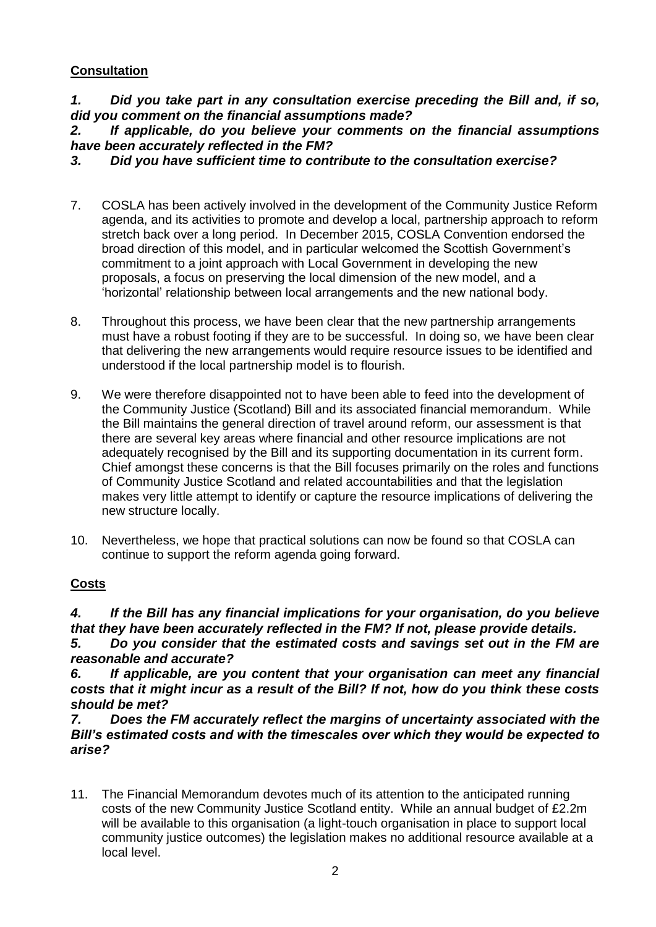## **Consultation**

*1. Did you take part in any consultation exercise preceding the Bill and, if so, did you comment on the financial assumptions made?* 

*2. If applicable, do you believe your comments on the financial assumptions have been accurately reflected in the FM?* 

*3. Did you have sufficient time to contribute to the consultation exercise?* 

- 7. COSLA has been actively involved in the development of the Community Justice Reform agenda, and its activities to promote and develop a local, partnership approach to reform stretch back over a long period. In December 2015, COSLA Convention endorsed the broad direction of this model, and in particular welcomed the Scottish Government's commitment to a joint approach with Local Government in developing the new proposals, a focus on preserving the local dimension of the new model, and a 'horizontal' relationship between local arrangements and the new national body.
- 8. Throughout this process, we have been clear that the new partnership arrangements must have a robust footing if they are to be successful. In doing so, we have been clear that delivering the new arrangements would require resource issues to be identified and understood if the local partnership model is to flourish.
- 9. We were therefore disappointed not to have been able to feed into the development of the Community Justice (Scotland) Bill and its associated financial memorandum. While the Bill maintains the general direction of travel around reform, our assessment is that there are several key areas where financial and other resource implications are not adequately recognised by the Bill and its supporting documentation in its current form. Chief amongst these concerns is that the Bill focuses primarily on the roles and functions of Community Justice Scotland and related accountabilities and that the legislation makes very little attempt to identify or capture the resource implications of delivering the new structure locally.
- 10. Nevertheless, we hope that practical solutions can now be found so that COSLA can continue to support the reform agenda going forward.

## **Costs**

*4. If the Bill has any financial implications for your organisation, do you believe that they have been accurately reflected in the FM? If not, please provide details.* 

*5. Do you consider that the estimated costs and savings set out in the FM are reasonable and accurate?* 

*6. If applicable, are you content that your organisation can meet any financial costs that it might incur as a result of the Bill? If not, how do you think these costs should be met?* 

*7. Does the FM accurately reflect the margins of uncertainty associated with the Bill's estimated costs and with the timescales over which they would be expected to arise?*

11. The Financial Memorandum devotes much of its attention to the anticipated running costs of the new Community Justice Scotland entity. While an annual budget of £2.2m will be available to this organisation (a light-touch organisation in place to support local community justice outcomes) the legislation makes no additional resource available at a local level.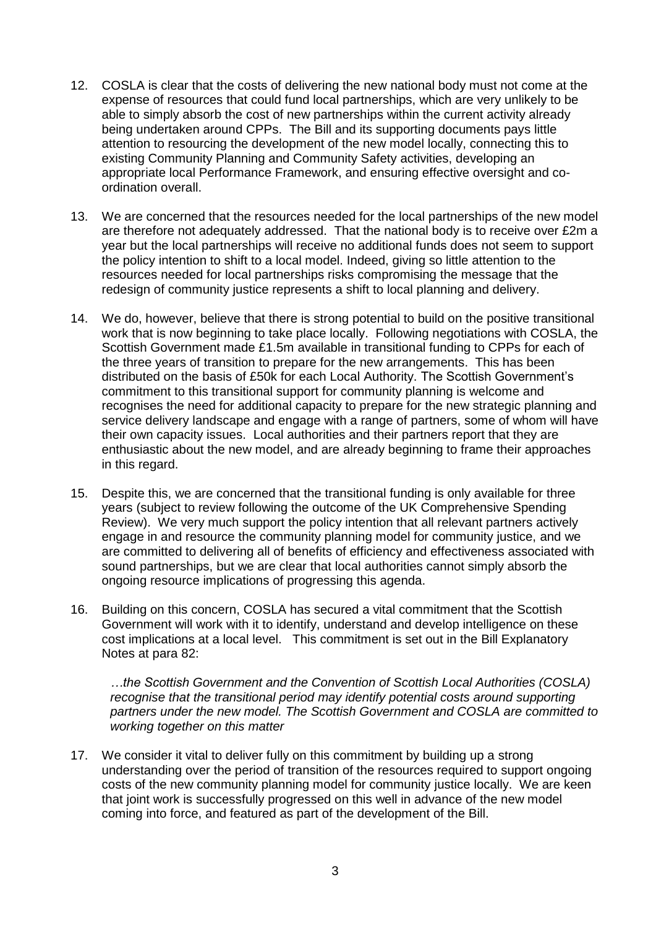- 12. COSLA is clear that the costs of delivering the new national body must not come at the expense of resources that could fund local partnerships, which are very unlikely to be able to simply absorb the cost of new partnerships within the current activity already being undertaken around CPPs. The Bill and its supporting documents pays little attention to resourcing the development of the new model locally, connecting this to existing Community Planning and Community Safety activities, developing an appropriate local Performance Framework, and ensuring effective oversight and coordination overall.
- 13. We are concerned that the resources needed for the local partnerships of the new model are therefore not adequately addressed. That the national body is to receive over £2m a year but the local partnerships will receive no additional funds does not seem to support the policy intention to shift to a local model. Indeed, giving so little attention to the resources needed for local partnerships risks compromising the message that the redesign of community justice represents a shift to local planning and delivery.
- 14. We do, however, believe that there is strong potential to build on the positive transitional work that is now beginning to take place locally. Following negotiations with COSLA, the Scottish Government made £1.5m available in transitional funding to CPPs for each of the three years of transition to prepare for the new arrangements. This has been distributed on the basis of £50k for each Local Authority. The Scottish Government's commitment to this transitional support for community planning is welcome and recognises the need for additional capacity to prepare for the new strategic planning and service delivery landscape and engage with a range of partners, some of whom will have their own capacity issues. Local authorities and their partners report that they are enthusiastic about the new model, and are already beginning to frame their approaches in this regard.
- 15. Despite this, we are concerned that the transitional funding is only available for three years (subject to review following the outcome of the UK Comprehensive Spending Review). We very much support the policy intention that all relevant partners actively engage in and resource the community planning model for community justice, and we are committed to delivering all of benefits of efficiency and effectiveness associated with sound partnerships, but we are clear that local authorities cannot simply absorb the ongoing resource implications of progressing this agenda.
- 16. Building on this concern, COSLA has secured a vital commitment that the Scottish Government will work with it to identify, understand and develop intelligence on these cost implications at a local level. This commitment is set out in the Bill Explanatory Notes at para 82:

*…the Scottish Government and the Convention of Scottish Local Authorities (COSLA) recognise that the transitional period may identify potential costs around supporting partners under the new model. The Scottish Government and COSLA are committed to working together on this matter*

17. We consider it vital to deliver fully on this commitment by building up a strong understanding over the period of transition of the resources required to support ongoing costs of the new community planning model for community justice locally. We are keen that joint work is successfully progressed on this well in advance of the new model coming into force, and featured as part of the development of the Bill.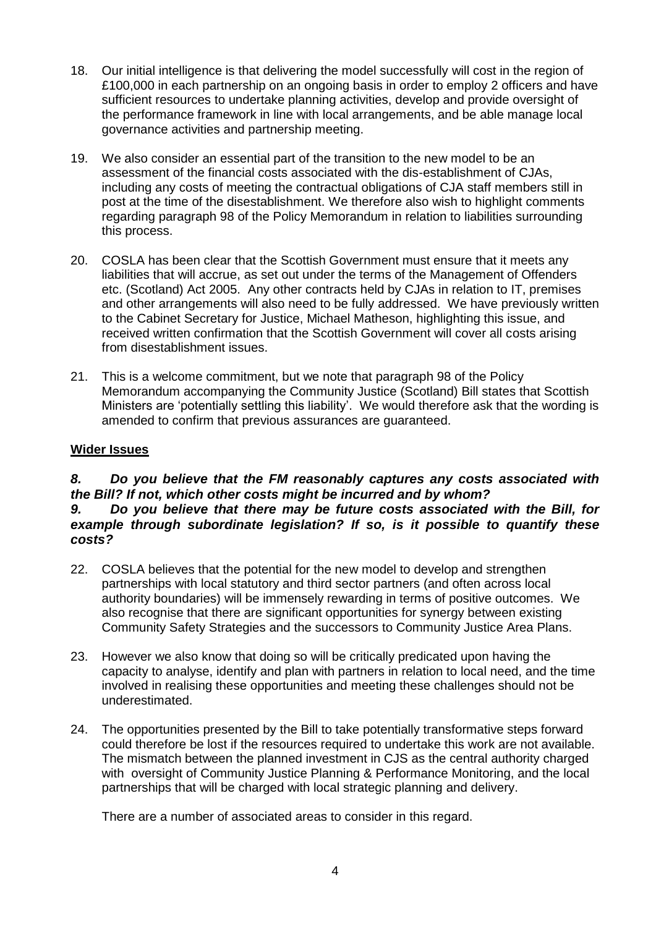- 18. Our initial intelligence is that delivering the model successfully will cost in the region of £100,000 in each partnership on an ongoing basis in order to employ 2 officers and have sufficient resources to undertake planning activities, develop and provide oversight of the performance framework in line with local arrangements, and be able manage local governance activities and partnership meeting.
- 19. We also consider an essential part of the transition to the new model to be an assessment of the financial costs associated with the dis-establishment of CJAs, including any costs of meeting the contractual obligations of CJA staff members still in post at the time of the disestablishment. We therefore also wish to highlight comments regarding paragraph 98 of the Policy Memorandum in relation to liabilities surrounding this process.
- 20. COSLA has been clear that the Scottish Government must ensure that it meets any liabilities that will accrue, as set out under the terms of the Management of Offenders etc. (Scotland) Act 2005. Any other contracts held by CJAs in relation to IT, premises and other arrangements will also need to be fully addressed. We have previously written to the Cabinet Secretary for Justice, Michael Matheson, highlighting this issue, and received written confirmation that the Scottish Government will cover all costs arising from disestablishment issues.
- 21. This is a welcome commitment, but we note that paragraph 98 of the Policy Memorandum accompanying the Community Justice (Scotland) Bill states that Scottish Ministers are 'potentially settling this liability'. We would therefore ask that the wording is amended to confirm that previous assurances are guaranteed.

#### **Wider Issues**

# *8. Do you believe that the FM reasonably captures any costs associated with the Bill? If not, which other costs might be incurred and by whom? 9. Do you believe that there may be future costs associated with the Bill, for*

## *example through subordinate legislation? If so, is it possible to quantify these costs?*

- 22. COSLA believes that the potential for the new model to develop and strengthen partnerships with local statutory and third sector partners (and often across local authority boundaries) will be immensely rewarding in terms of positive outcomes. We also recognise that there are significant opportunities for synergy between existing Community Safety Strategies and the successors to Community Justice Area Plans.
- 23. However we also know that doing so will be critically predicated upon having the capacity to analyse, identify and plan with partners in relation to local need, and the time involved in realising these opportunities and meeting these challenges should not be underestimated.
- 24. The opportunities presented by the Bill to take potentially transformative steps forward could therefore be lost if the resources required to undertake this work are not available. The mismatch between the planned investment in CJS as the central authority charged with oversight of Community Justice Planning & Performance Monitoring, and the local partnerships that will be charged with local strategic planning and delivery.

There are a number of associated areas to consider in this regard.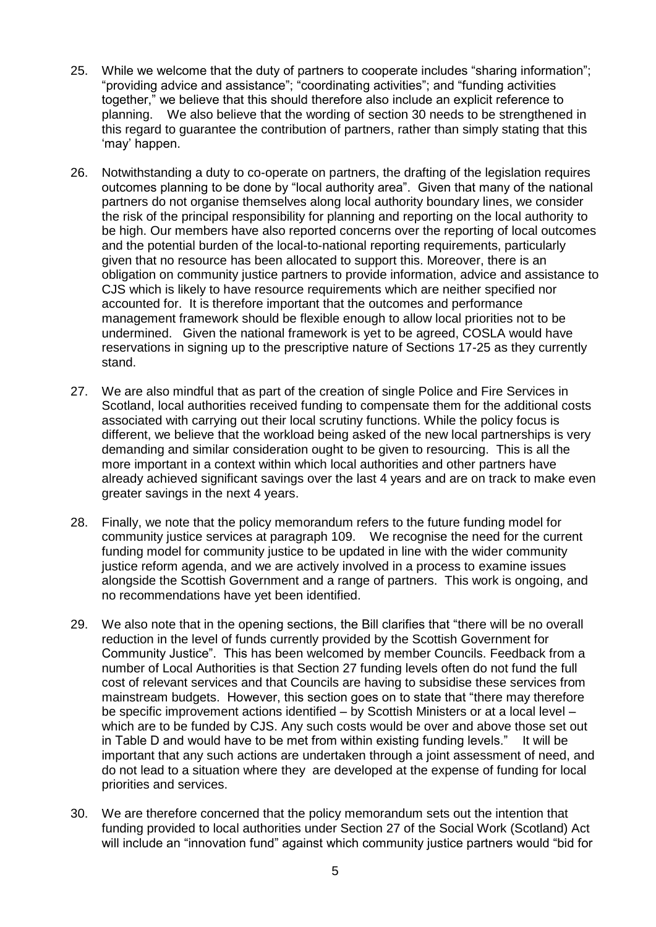- 25. While we welcome that the duty of partners to cooperate includes "sharing information"; "providing advice and assistance"; "coordinating activities"; and "funding activities together," we believe that this should therefore also include an explicit reference to planning. We also believe that the wording of section 30 needs to be strengthened in this regard to guarantee the contribution of partners, rather than simply stating that this 'may' happen.
- 26. Notwithstanding a duty to co-operate on partners, the drafting of the legislation requires outcomes planning to be done by "local authority area". Given that many of the national partners do not organise themselves along local authority boundary lines, we consider the risk of the principal responsibility for planning and reporting on the local authority to be high. Our members have also reported concerns over the reporting of local outcomes and the potential burden of the local-to-national reporting requirements, particularly given that no resource has been allocated to support this. Moreover, there is an obligation on community justice partners to provide information, advice and assistance to CJS which is likely to have resource requirements which are neither specified nor accounted for. It is therefore important that the outcomes and performance management framework should be flexible enough to allow local priorities not to be undermined. Given the national framework is yet to be agreed, COSLA would have reservations in signing up to the prescriptive nature of Sections 17-25 as they currently stand.
- 27. We are also mindful that as part of the creation of single Police and Fire Services in Scotland, local authorities received funding to compensate them for the additional costs associated with carrying out their local scrutiny functions. While the policy focus is different, we believe that the workload being asked of the new local partnerships is very demanding and similar consideration ought to be given to resourcing. This is all the more important in a context within which local authorities and other partners have already achieved significant savings over the last 4 years and are on track to make even greater savings in the next 4 years.
- 28. Finally, we note that the policy memorandum refers to the future funding model for community justice services at paragraph 109. We recognise the need for the current funding model for community justice to be updated in line with the wider community justice reform agenda, and we are actively involved in a process to examine issues alongside the Scottish Government and a range of partners. This work is ongoing, and no recommendations have yet been identified.
- 29. We also note that in the opening sections, the Bill clarifies that "there will be no overall reduction in the level of funds currently provided by the Scottish Government for Community Justice". This has been welcomed by member Councils. Feedback from a number of Local Authorities is that Section 27 funding levels often do not fund the full cost of relevant services and that Councils are having to subsidise these services from mainstream budgets. However, this section goes on to state that "there may therefore be specific improvement actions identified – by Scottish Ministers or at a local level – which are to be funded by CJS. Any such costs would be over and above those set out in Table D and would have to be met from within existing funding levels." It will be important that any such actions are undertaken through a joint assessment of need, and do not lead to a situation where they are developed at the expense of funding for local priorities and services.
- 30. We are therefore concerned that the policy memorandum sets out the intention that funding provided to local authorities under Section 27 of the Social Work (Scotland) Act will include an "innovation fund" against which community justice partners would "bid for